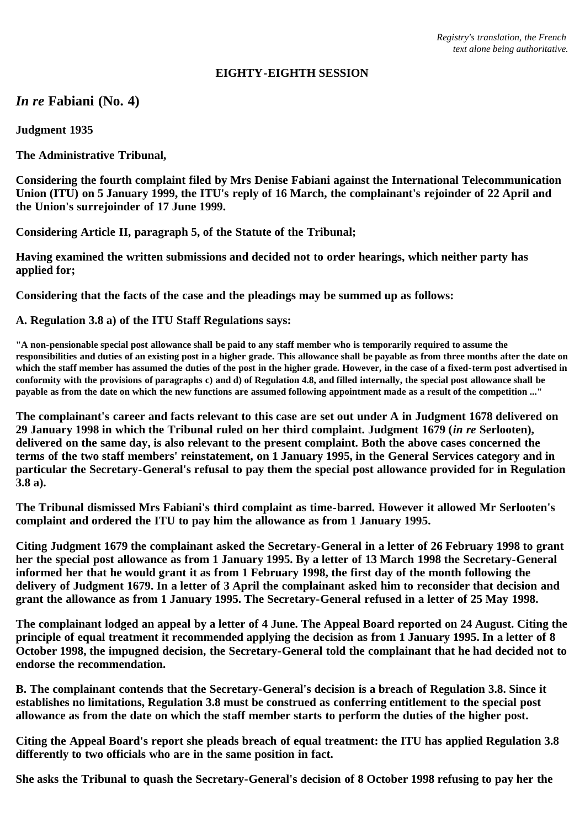### **EIGHTY-EIGHTH SESSION**

# *In re* **Fabiani (No. 4)**

**Judgment 1935**

**The Administrative Tribunal,**

**Considering the fourth complaint filed by Mrs Denise Fabiani against the International Telecommunication Union (ITU) on 5 January 1999, the ITU's reply of 16 March, the complainant's rejoinder of 22 April and the Union's surrejoinder of 17 June 1999.**

**Considering Article II, paragraph 5, of the Statute of the Tribunal;**

**Having examined the written submissions and decided not to order hearings, which neither party has applied for;**

**Considering that the facts of the case and the pleadings may be summed up as follows:**

## **A. Regulation 3.8 a) of the ITU Staff Regulations says:**

**"A non-pensionable special post allowance shall be paid to any staff member who is temporarily required to assume the responsibilities and duties of an existing post in a higher grade. This allowance shall be payable as from three months after the date on which the staff member has assumed the duties of the post in the higher grade. However, in the case of a fixed-term post advertised in conformity with the provisions of paragraphs c) and d) of Regulation 4.8, and filled internally, the special post allowance shall be payable as from the date on which the new functions are assumed following appointment made as a result of the competition ..."**

**The complainant's career and facts relevant to this case are set out under A in Judgment 1678 delivered on 29 January 1998 in which the Tribunal ruled on her third complaint. Judgment 1679 (***in re* **Serlooten), delivered on the same day, is also relevant to the present complaint. Both the above cases concerned the terms of the two staff members' reinstatement, on 1 January 1995, in the General Services category and in particular the Secretary-General's refusal to pay them the special post allowance provided for in Regulation 3.8 a).**

**The Tribunal dismissed Mrs Fabiani's third complaint as time-barred. However it allowed Mr Serlooten's complaint and ordered the ITU to pay him the allowance as from 1 January 1995.**

**Citing Judgment 1679 the complainant asked the Secretary-General in a letter of 26 February 1998 to grant her the special post allowance as from 1 January 1995. By a letter of 13 March 1998 the Secretary-General informed her that he would grant it as from 1 February 1998, the first day of the month following the delivery of Judgment 1679. In a letter of 3 April the complainant asked him to reconsider that decision and grant the allowance as from 1 January 1995. The Secretary-General refused in a letter of 25 May 1998.**

**The complainant lodged an appeal by a letter of 4 June. The Appeal Board reported on 24 August. Citing the principle of equal treatment it recommended applying the decision as from 1 January 1995. In a letter of 8 October 1998, the impugned decision, the Secretary-General told the complainant that he had decided not to endorse the recommendation.**

**B. The complainant contends that the Secretary-General's decision is a breach of Regulation 3.8. Since it establishes no limitations, Regulation 3.8 must be construed as conferring entitlement to the special post allowance as from the date on which the staff member starts to perform the duties of the higher post.**

**Citing the Appeal Board's report she pleads breach of equal treatment: the ITU has applied Regulation 3.8 differently to two officials who are in the same position in fact.**

**She asks the Tribunal to quash the Secretary-General's decision of 8 October 1998 refusing to pay her the**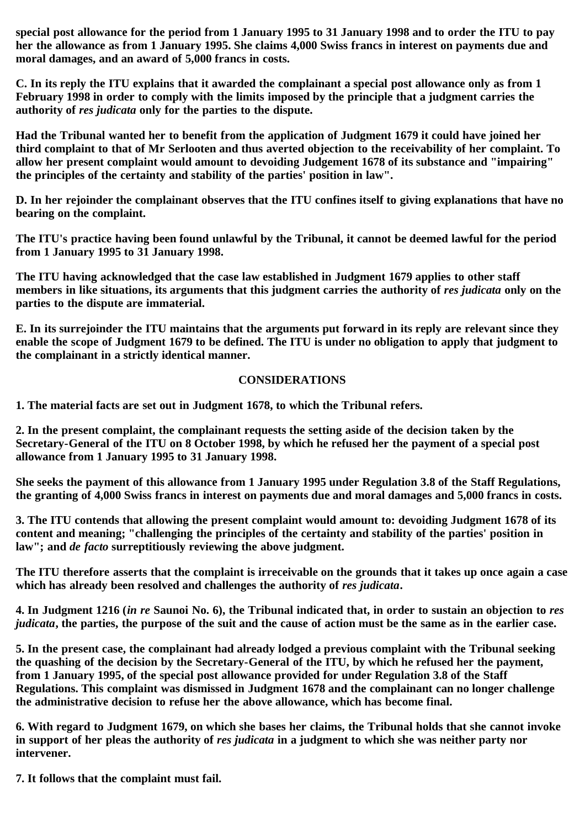**special post allowance for the period from 1 January 1995 to 31 January 1998 and to order the ITU to pay her the allowance as from 1 January 1995. She claims 4,000 Swiss francs in interest on payments due and moral damages, and an award of 5,000 francs in costs.**

**C. In its reply the ITU explains that it awarded the complainant a special post allowance only as from 1 February 1998 in order to comply with the limits imposed by the principle that a judgment carries the authority of** *res judicata* **only for the parties to the dispute.**

**Had the Tribunal wanted her to benefit from the application of Judgment 1679 it could have joined her third complaint to that of Mr Serlooten and thus averted objection to the receivability of her complaint. To allow her present complaint would amount to devoiding Judgement 1678 of its substance and "impairing" the principles of the certainty and stability of the parties' position in law".**

**D. In her rejoinder the complainant observes that the ITU confines itself to giving explanations that have no bearing on the complaint.**

**The ITU's practice having been found unlawful by the Tribunal, it cannot be deemed lawful for the period from 1 January 1995 to 31 January 1998.**

**The ITU having acknowledged that the case law established in Judgment 1679 applies to other staff members in like situations, its arguments that this judgment carries the authority of** *res judicata* **only on the parties to the dispute are immaterial.**

**E. In its surrejoinder the ITU maintains that the arguments put forward in its reply are relevant since they enable the scope of Judgment 1679 to be defined. The ITU is under no obligation to apply that judgment to the complainant in a strictly identical manner.**

## **CONSIDERATIONS**

**1. The material facts are set out in Judgment 1678, to which the Tribunal refers.**

**2. In the present complaint, the complainant requests the setting aside of the decision taken by the Secretary-General of the ITU on 8 October 1998, by which he refused her the payment of a special post allowance from 1 January 1995 to 31 January 1998.**

**She seeks the payment of this allowance from 1 January 1995 under Regulation 3.8 of the Staff Regulations, the granting of 4,000 Swiss francs in interest on payments due and moral damages and 5,000 francs in costs.**

**3. The ITU contends that allowing the present complaint would amount to: devoiding Judgment 1678 of its content and meaning; "challenging the principles of the certainty and stability of the parties' position in law"; and** *de facto* **surreptitiously reviewing the above judgment.**

**The ITU therefore asserts that the complaint is irreceivable on the grounds that it takes up once again a case which has already been resolved and challenges the authority of** *res judicata***.**

**4. In Judgment 1216 (***in re* **Saunoi No. 6), the Tribunal indicated that, in order to sustain an objection to** *res judicata***, the parties, the purpose of the suit and the cause of action must be the same as in the earlier case.**

**5. In the present case, the complainant had already lodged a previous complaint with the Tribunal seeking the quashing of the decision by the Secretary-General of the ITU, by which he refused her the payment, from 1 January 1995, of the special post allowance provided for under Regulation 3.8 of the Staff Regulations. This complaint was dismissed in Judgment 1678 and the complainant can no longer challenge the administrative decision to refuse her the above allowance, which has become final.**

**6. With regard to Judgment 1679, on which she bases her claims, the Tribunal holds that she cannot invoke in support of her pleas the authority of** *res judicata* **in a judgment to which she was neither party nor intervener.**

**7. It follows that the complaint must fail.**